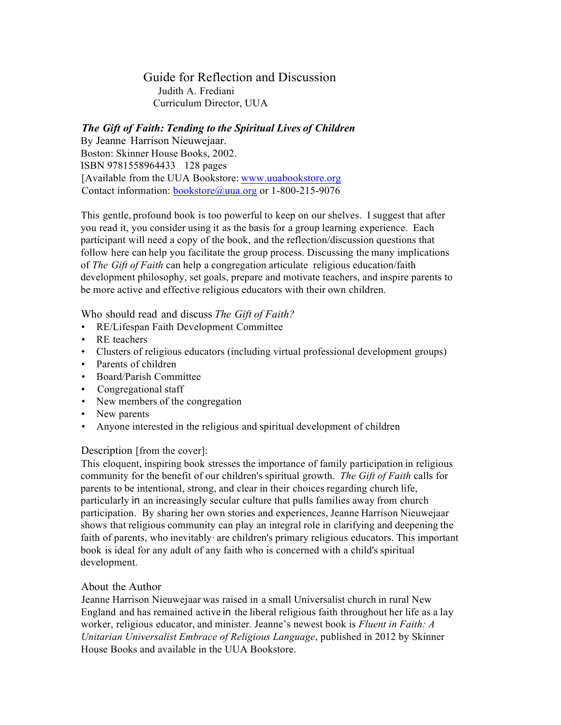Guide for Reflection and Discussion Judith A. Frediani Curriculum Director, UUA

## *The Gift of Faith: Tending to the Spiritual Lives of Children*

By Jeanne Harrison Nieuwejaar. Boston: Skinner House Books, 2002. ISBN 9781558964433 128 pages [Available from the UUA Bookstore: www.uuabookstore.org Contact information: bookstore@uua.org or 1-800-215-9076

This gentle, profound book is too powerful to keep on our shelves. I suggest that after you read it, you consider using it as the basis for a group learning experience. Each participant will need a copy of the book, and the reflection/discussion questions that follow here can help you facilitate the group process. Discussing the many implications of *The Gift of Faith* can help a congregation articulate religious education/faith development philosophy, set goals, prepare and motivate teachers, and inspire parents to be more active and effective religious educators with their own children.

Who should read and discuss *The Gift of Faith?*

- RE/Lifespan Faith Development Committee
- RE teachers
- Clusters of religious educators (including virtual professional development groups)
- Parents of children
- Board/Parish Committee
- Congregational staff
- New members of the congregation
- New parents
- Anyone interested in the religious and spiritual development of children

## Description [from the cover]:

This eloquent, inspiring book stresses the importance of family participation in religious community for the benefit of our children's spiritual growth. *The Gift of Faith* calls for parents to be intentional, strong, and clear in their choices regarding church life, particularly in an increasingly secular culture that pulls families away from church participation. By sharing her own stories and experiences, Jeanne Harrison Nieuwejaar shows that religious community can play an integral role in clarifying and deepening the faith of parents, who inevitably· are children's primary religious educators. This important book is ideal for any adult of any faith who is concerned with a child's spiritual development.

## About the Author

Jeanne Harrison Nieuwejaar was raised in a small Universalist church in rural New England and has remained active in the liberal religious faith throughout her life as a lay worker, religious educator, and minister*.* Jeanne's newest book is *Fluent in Faith: A Unitarian Universalist Embrace of Religious Language*, published in 2012 by Skinner House Books and available in the UUA Bookstore.